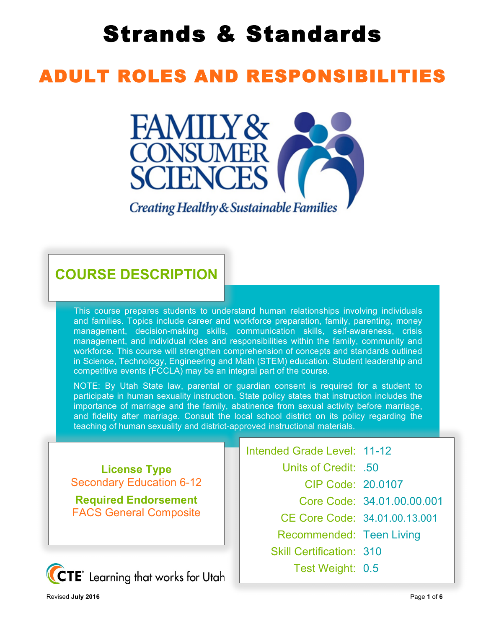# Strands & Standards

## ADULT ROLES AND RESPONSIBILITIES



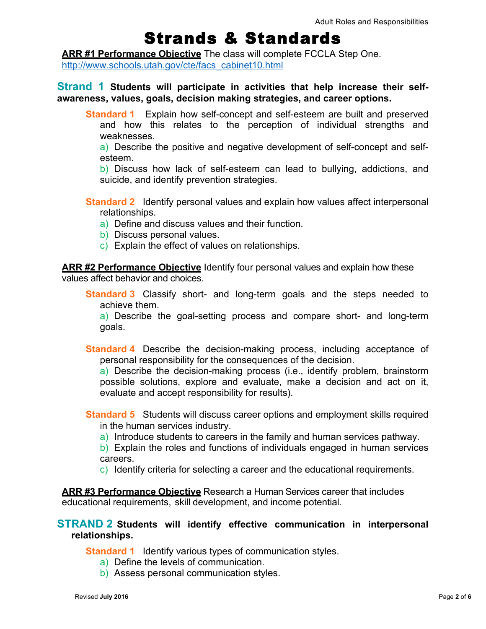### Strands & Standards

**ARR #1 Performance Objective** The class will complete FCCLA Step One. http://www.schools.utah.gov/cte/facs\_cabinet10.html

#### **Strand 1 Students will participate in activities that help increase their selfawareness, values, goals, decision making strategies, and career options.**

**Standard 1** Explain how self-concept and self-esteem are built and preserved and how this relates to the perception of individual strengths and weaknesses.

a) Describe the positive and negative development of self-concept and selfesteem.

b) Discuss how lack of self-esteem can lead to bullying, addictions, and suicide, and identify prevention strategies.

**Standard 2** Identify personal values and explain how values affect interpersonal relationships.

- a) Define and discuss values and their function.
- b) Discuss personal values.
- c) Explain the effect of values on relationships.

**ARR #2 Performance Objective** Identify four personal values and explain how these values affect behavior and choices.

**Standard 3** Classify short- and long-term goals and the steps needed to achieve them.

a) Describe the goal-setting process and compare short- and long-term goals.

**Standard 4** Describe the decision-making process, including acceptance of personal responsibility for the consequences of the decision.

a) Describe the decision-making process (i.e., identify problem, brainstorm possible solutions, explore and evaluate, make a decision and act on it, evaluate and accept responsibility for results).

**Standard 5** Students will discuss career options and employment skills required in the human services industry.

a) Introduce students to careers in the family and human services pathway.

b) Explain the roles and functions of individuals engaged in human services careers.

c) Identify criteria for selecting a career and the educational requirements.

**ARR #3 Performance Objective** Research a Human Services career that includes educational requirements, skill development, and income potential.

#### **STRAND 2 Students will identify effective communication in interpersonal relationships.**

**Standard 1** Identify various types of communication styles.

- a) Define the levels of communication.
- b) Assess personal communication styles.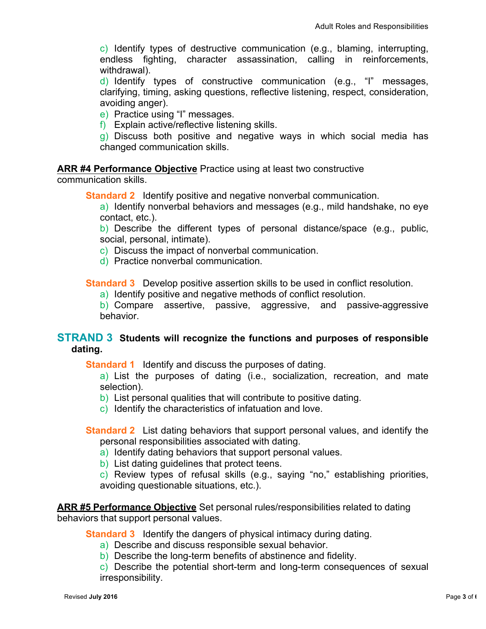c) Identify types of destructive communication (e.g., blaming, interrupting, endless fighting, character assassination, calling in reinforcements, withdrawal).

d) Identify types of constructive communication (e.g., "I" messages, clarifying, timing, asking questions, reflective listening, respect, consideration, avoiding anger).

e) Practice using "I" messages.

f) Explain active/reflective listening skills.

g) Discuss both positive and negative ways in which social media has changed communication skills.

#### **ARR #4 Performance Objective** Practice using at least two constructive

communication skills.

**Standard 2** Identify positive and negative nonverbal communication.

a) Identify nonverbal behaviors and messages (e.g., mild handshake, no eye contact, etc.).

b) Describe the different types of personal distance/space (e.g., public, social, personal, intimate).

c) Discuss the impact of nonverbal communication.

d) Practice nonverbal communication.

**Standard 3** Develop positive assertion skills to be used in conflict resolution.

a) Identify positive and negative methods of conflict resolution.

b) Compare assertive, passive, aggressive, and passive-aggressive behavior.

#### **STRAND 3 Students will recognize the functions and purposes of responsible dating.**

**Standard 1** Identify and discuss the purposes of dating.

a) List the purposes of dating (i.e., socialization, recreation, and mate selection).

- b) List personal qualities that will contribute to positive dating.
- c) Identify the characteristics of infatuation and love.

**Standard 2** List dating behaviors that support personal values, and identify the personal responsibilities associated with dating.

- a) Identify dating behaviors that support personal values.
- b) List dating guidelines that protect teens.

c) Review types of refusal skills (e.g., saying "no," establishing priorities, avoiding questionable situations, etc.).

#### **ARR #5 Performance Objective** Set personal rules/responsibilities related to dating behaviors that support personal values.

**Standard 3** Identify the dangers of physical intimacy during dating.

- a) Describe and discuss responsible sexual behavior.
- b) Describe the long-term benefits of abstinence and fidelity.

c) Describe the potential short-term and long-term consequences of sexual irresponsibility.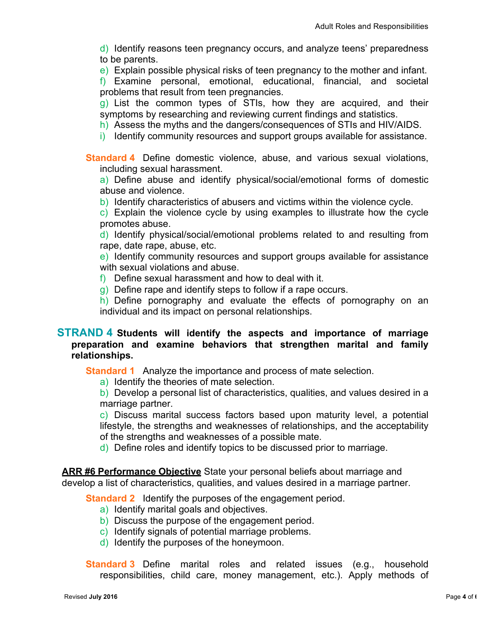d) Identify reasons teen pregnancy occurs, and analyze teens' preparedness to be parents.

e) Explain possible physical risks of teen pregnancy to the mother and infant.

f) Examine personal, emotional, educational, financial, and societal problems that result from teen pregnancies.

g) List the common types of STIs, how they are acquired, and their symptoms by researching and reviewing current findings and statistics.

- h) Assess the myths and the dangers/consequences of STIs and HIV/AIDS.
- i) Identify community resources and support groups available for assistance.

**Standard 4** Define domestic violence, abuse, and various sexual violations, including sexual harassment.

a) Define abuse and identify physical/social/emotional forms of domestic abuse and violence.

b) Identify characteristics of abusers and victims within the violence cycle.

c) Explain the violence cycle by using examples to illustrate how the cycle promotes abuse.

d) Identify physical/social/emotional problems related to and resulting from rape, date rape, abuse, etc.

e) Identify community resources and support groups available for assistance with sexual violations and abuse.

f) Define sexual harassment and how to deal with it.

g) Define rape and identify steps to follow if a rape occurs.

h) Define pornography and evaluate the effects of pornography on an individual and its impact on personal relationships.

#### **STRAND 4 Students will identify the aspects and importance of marriage preparation and examine behaviors that strengthen marital and family relationships.**

**Standard 1** Analyze the importance and process of mate selection.

a) Identify the theories of mate selection.

b) Develop a personal list of characteristics, qualities, and values desired in a marriage partner.

c) Discuss marital success factors based upon maturity level, a potential lifestyle, the strengths and weaknesses of relationships, and the acceptability of the strengths and weaknesses of a possible mate.

d) Define roles and identify topics to be discussed prior to marriage.

**ARR #6 Performance Objective** State your personal beliefs about marriage and develop a list of characteristics, qualities, and values desired in a marriage partner.

**Standard 2** Identify the purposes of the engagement period.

- a) Identify marital goals and objectives.
- b) Discuss the purpose of the engagement period.
- c) Identify signals of potential marriage problems.
- d) Identify the purposes of the honeymoon.

**Standard 3** Define marital roles and related issues (e.g., household responsibilities, child care, money management, etc.). Apply methods of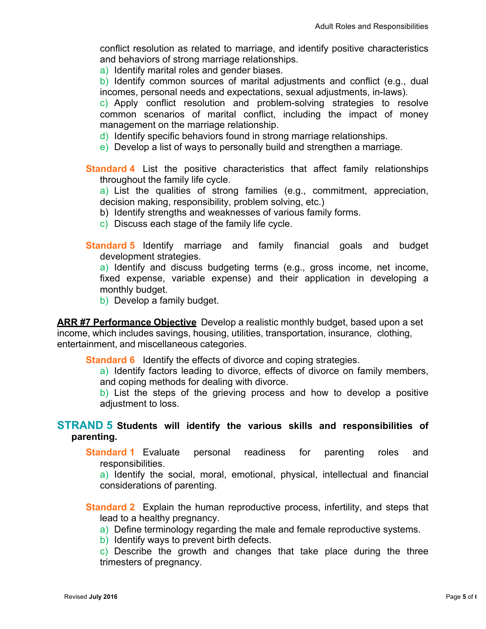conflict resolution as related to marriage, and identify positive characteristics and behaviors of strong marriage relationships.

a) Identify marital roles and gender biases.

b) Identify common sources of marital adjustments and conflict (e.g., dual incomes, personal needs and expectations, sexual adjustments, in-laws).

c) Apply conflict resolution and problem-solving strategies to resolve common scenarios of marital conflict, including the impact of money management on the marriage relationship.

d) Identify specific behaviors found in strong marriage relationships.

e) Develop a list of ways to personally build and strengthen a marriage.

**Standard 4** List the positive characteristics that affect family relationships throughout the family life cycle.

a) List the qualities of strong families (e.g., commitment, appreciation, decision making, responsibility, problem solving, etc.)

- b) Identify strengths and weaknesses of various family forms.
- c) Discuss each stage of the family life cycle.
- **Standard 5** Identify marriage and family financial goals and budget development strategies.

a) Identify and discuss budgeting terms (e.g., gross income, net income, fixed expense, variable expense) and their application in developing a monthly budget.

b) Develop a family budget.

**ARR #7 Performance Objective** Develop a realistic monthly budget, based upon a set income, which includes savings, housing, utilities, transportation, insurance, clothing, entertainment, and miscellaneous categories.

**Standard 6** Identify the effects of divorce and coping strategies.

a) Identify factors leading to divorce, effects of divorce on family members, and coping methods for dealing with divorce.

b) List the steps of the grieving process and how to develop a positive adjustment to loss.

#### **STRAND 5 Students will identify the various skills and responsibilities of parenting.**

**Standard 1** Evaluate personal readiness for parenting roles and responsibilities.

a) Identify the social, moral, emotional, physical, intellectual and financial considerations of parenting.

**Standard 2** Explain the human reproductive process, infertility, and steps that lead to a healthy pregnancy.

a) Define terminology regarding the male and female reproductive systems.

b) Identify ways to prevent birth defects.

c) Describe the growth and changes that take place during the three trimesters of pregnancy.